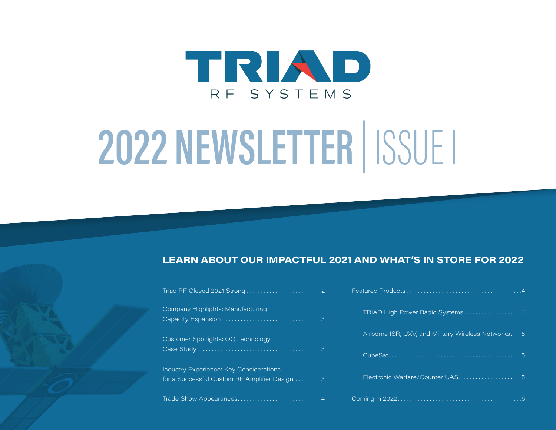

## **2022 NEWSLETTER** | ISSUE I

### **LEARN ABOUT OUR IMPACTFUL 2021 AND WHAT'S IN STORE FOR 2022**

| Company Highlights: Manufacturing                                                        |
|------------------------------------------------------------------------------------------|
| Customer Spotlights: OQ Technology                                                       |
| Industry Experience: Key Considerations<br>for a Successful Custom RF Amplifier Design 3 |

[Trade Show Appearances . . . . . . . . . . . . . . . . . . . . . . . . . . . . 4](#page-3-0)

| TRIAD High Power Radio Systems4                    |
|----------------------------------------------------|
| Airborne ISR, UXV, and Military Wireless Networks5 |
|                                                    |
| Electronic Warfare/Counter UAS5                    |
|                                                    |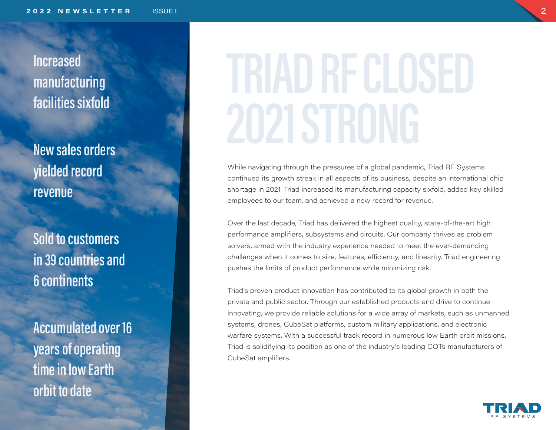<span id="page-1-0"></span>**Increased manufacturing facilities sixfold**

**New sales orders yielded record revenue**

**Sold to customers in 39 countries and 6 continents**

**Accumulated over 16 years of operating time in low Earth orbit to date**

# **TRIAD RF CLOSED**

While navigating through the pressures of a global pandemic, Triad RF Systems continued its growth streak in all aspects of its business, despite an international chip shortage in 2021. Triad increased its manufacturing capacity sixfold, added key skilled employees to our team, and achieved a new record for revenue.

Over the last decade, Triad has delivered the highest quality, state-of-the-art high performance amplifiers, subsystems and circuits. Our company thrives as problem solvers, armed with the industry experience needed to meet the ever-demanding challenges when it comes to size, features, efficiency, and linearity. Triad engineering pushes the limits of product performance while minimizing risk.

Triad's proven product innovation has contributed to its global growth in both the private and public sector. Through our established products and drive to continue innovating, we provide reliable solutions for a wide array of markets, such as unmanned systems, drones, CubeSat platforms, custom military applications, and electronic warfare systems. With a successful track record in numerous low Earth orbit missions, Triad is solidifying its position as one of the industry's leading COTs manufacturers of CubeSat amplifiers.

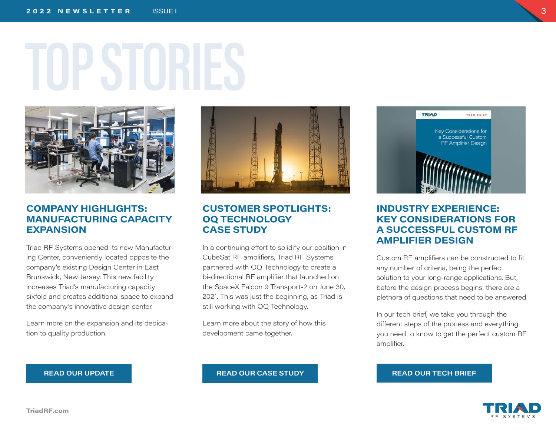# <span id="page-2-0"></span>**TOP STORIES**



### **COMPANY HIGHLIGHTS: MANUFACTURING CAPACITY EXPANSION**

Triad RF Systems opened its new Manufacturing Center, conveniently located opposite the company's existing Design Center in East Brunswick, New Jersey. This new facility increases Triad's manufacturing capacity sixfold and creates additional space to expand the company's innovative design center.

Learn more on the expansion and its dedication to quality production.



### **CUSTOMER SPOTLIGHTS: OQ TECHNOLOGY CASE STUDY**

In a continuing effort to solidify our position in CubeSat RF amplifiers, Triad RF Systems partnered with OQ Technology to create a bi-directional RF amplifier that launched on the SpaceX Falcon 9 Transport-2 on June 30, 2021. This was just the beginning, as Triad is still working with OQ Technology.

Learn more about the story of how this development came together.



### **INDUSTRY EXPERIENCE: KEY CONSIDERATIONS FOR A SUCCESSFUL CUSTOM RF AMPLIFIER DESIGN**

Custom RF amplifiers can be constructed to fit any number of criteria, being the perfect solution to your long-range applications. But, before the design process begins, there are a plethora of questions that need to be answered.

In our tech brief, we take you through the different steps of the process and everything you need to know to get the perfect custom RF amplifier.



**[READ OUR UPDATE](https://triadrf.com/updates/triad-expands-operations-with-new-manufacturing-center/) [READ OUR CASE STUDY](https://triadrf.com/updates/case-study-oq-technology-finds-the-right-rf-supplier/) [READ OUR TECH BRIEF](https://triadrf.com/updates/key-considerations-for-a-successful-custom-rf-amplifier-design/)**

3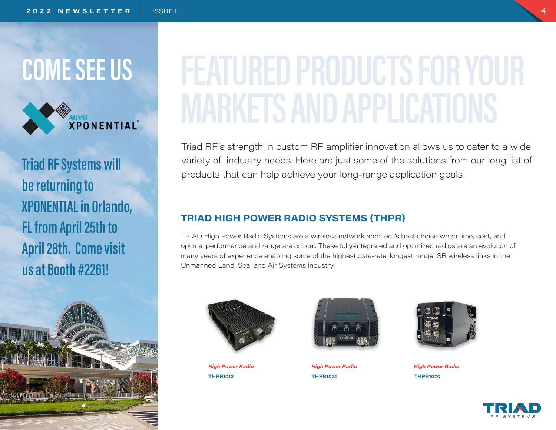

**Triad RF Systems will be returning to XPONENTIAL in Orlando, FL from April 25th to April 28th. Come visit us at Booth #2261!**



### <span id="page-3-0"></span>**COME SEE US FEATURED PRODUCTS FOR YOUR MARKETS AND APPLICATIONS**

Triad RF's strength in custom RF amplifier innovation allows us to cater to a wide variety of industry needs. Here are just some of the solutions from our long list of products that can help achieve your long-range application goals:

### **TRIAD HIGH POWER RADIO SYSTEMS (THPR)**

TRIAD High Power Radio Systems are a wireless network architect's best choice when time, cost, and optimal performance and range are critical. These fully-integrated and optimized radios are an evolution of many years of experience enabling some of the highest data-rate, longest range ISR wireless links in the Unmanned Land, Sea, and Air Systems industry.





**[THPR1012](https://triadrf.com/radio-systems/) [THPR1021](https://triadrf.com/radio-systems/) [THPR1070](https://triadrf.com/radio-systems/)** *High Power Radio High Power Radio High Power Radio*



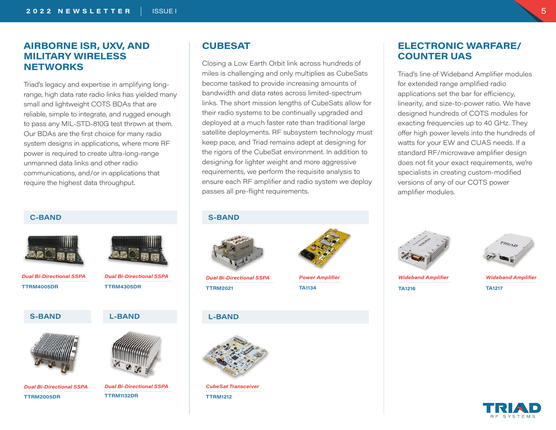### <span id="page-4-0"></span>**AIRBORNE ISR, UXV, AND MILITARY WIRELESS NETWORKS**

Triad's legacy and expertise in amplifying longrange, high data rate radio links has yielded many small and lightweight COTS BDAs that are reliable, simple to integrate, and rugged enough to pass any MIL-STD-810G test thrown at them. Our BDAs are the first choice for many radio system designs in applications, where more RF power is required to create ultra-long-range unmanned data links and other radio communications, and/or in applications that require the highest data throughput.

### **[C-BAND](https://triadrf.com/ttrm4005dr-4400-5000-mhz-25-w-dual-bi-directional-sspa/)**



**[TTRM4005DR](https://triadrf.com/ttrm4005dr-4400-5000-mhz-25-w-dual-bi-directional-sspa/)** *Dual Bi-Directional SSPA Dual Bi-Directional SSPA*

**[S-BAND](https://triadrf.com/ttrm4005dr-4400-5000-mhz-25-w-dual-bi-directional-sspa/) [L-BAND](https://triadrf.com/ttrm4005dr-4400-5000-mhz-25-w-dual-bi-directional-sspa/)**



**[TTRM2005DR](https://triadrf.com/ttrm2005dr-2200-2500-mhz-25-w-dual-bi-directional-sspa/)** *Dual Bi-Directional SSPA*





**[TTRM1132DR](https://triadrf.com/ttrm1132dr-1780-1850-mhz-25-w-dual-bi-directional-sspa/)**

### **CUBESAT**

Closing a Low Earth Orbit link across hundreds of miles is challenging and only multiplies as CubeSats become tasked to provide increasing amounts of bandwidth and data rates across limited-spectrum links. The short mission lengths of CubeSats allow for their radio systems to be continually upgraded and deployed at a much faster rate than traditional large satellite deployments. RF subsystem technology must keep pace, and Triad remains adept at designing for the rigors of the CubeSat environment. In addition to designing for lighter weight and more aggressive requirements, we perform the requisite analysis to ensure each RF amplifier and radio system we deploy passes all pre-flight requirements.

### **[S-BAND](https://triadrf.com/ttrm4005dr-4400-5000-mhz-25-w-dual-bi-directional-sspa/)**



**[TTRM2021](https://triadrf.com/cubesat/)** *Dual Bi-Directional SSPA*

### **[TA1134](https://triadrf.com/ta1134-2000-2500-mhz-4-w-power-amplifier/)**

### **[L-BAND](https://triadrf.com/ttrm4005dr-4400-5000-mhz-25-w-dual-bi-directional-sspa/)**



*CubeSat Transceiver* **[TTRM1212](https://triadrf.com/cubesat/)**



*Power Amplifier*

### **ELECTRONIC WARFARE/ COUNTER UAS**

Triad's line of Wideband Amplifier modules for extended range amplified radio applications set the bar for efficiency, linearity, and size-to-power ratio. We have designed hundreds of COTS modules for exacting frequencies up to 40 GHz. They offer high power levels into the hundreds of watts for your EW and CUAS needs. If a standard RF/microwave amplifier design does not fit your exact requirements, we're specialists in creating custom-modified versions of any of our COTS power amplifier modules.





**[TA1216](https://triadrf.com/ta1216-300-6000-mhz-32-w-power-amplifier/)** *Wideband Amplifier* **[TA1217](https://triadrf.com/ta1217-30-2700-mhz-8-w-power-amplifier/)** *Wideband Amplifier*